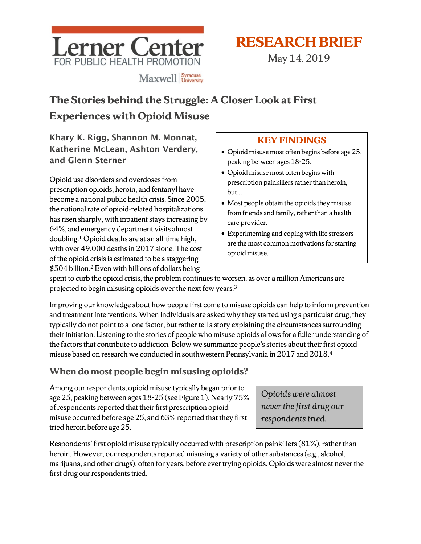

# **RESEARCH BRIEF**

May 14, 2019

# **The Stories behind the Struggle: A Closer Look at First Experiences with Opioid Misuse**

Khary K. Rigg, Shannon M. Monnat, Katherine McLean, Ashton Verdery, and Glenn Sterner

Opioid use disorders and overdoses from prescription opioids, heroin, and fentanyl have become a national public health crisis. Since 2005, the national rate of opioid-related hospitalizations has risen sharply, with inpatient stays increasing by 64%, and emergency department visits almost doubling. <sup>1</sup> Opioid deaths are at an all-time high, with over 49,000 deaths in 2017 alone. The cost of the opioid crisis is estimated to be a staggering \$504 billion. <sup>2</sup> Even with billions of dollars being

# **KEY FINDINGS**

- Opioid misuse most often begins before age 25, peaking between ages 18-25.
- Opioid misuse most often begins with prescription painkillers rather than heroin, but…
- Most people obtain the opioids they misuse from friends and family, rather than a health care provider.
- Experimenting and coping with life stressors are the most common motivations forstarting opioid misuse.

spent to curb the opioid crisis, the problem continues to worsen, as over a million Americans are projected to begin misusing opioids over the next few years.3

Improving our knowledge about how people first come to misuse opioids can help to inform prevention and treatment interventions. When individuals are asked why they started using a particular drug, they typically do not point to a lone factor, but rather tell a story explaining the circumstances surrounding their initiation. Listening to the stories of people who misuse opioids allowsfor a fuller understanding of the factors that contribute to addiction. Below we summarize people's stories about their first opioid misuse based on research we conducted in southwestern Pennsylvania in 2017 and 2018. $^{\rm 4}$ 

## **When do most people begin misusing opioids?**

Among our respondents, opioid misuse typically began prior to age 25, peaking between ages 18-25 (see Figure 1). Nearly 75% of respondents reported that their first prescription opioid misuse occurred before age 25, and 63% reported that they first tried heroin before age 25.

Respondents' first opioid misuse typically occurred with prescription painkillers(81%), rather than heroin. However, our respondents reported misusing a variety of other substances (e.g., alcohol, marijuana, and other drugs), often for years, before ever trying opioids. Opioids were almost never the first drug our respondents tried.

*Opioids were almost never the first drug our respondents tried.*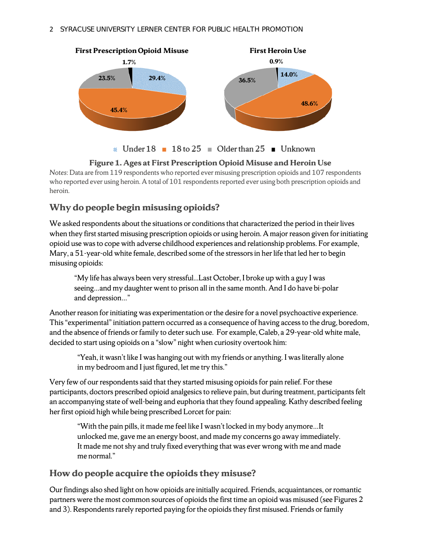

#### **Figure 1. Ages at First Prescription Opioid Misuse and Heroin Use**

*Notes*: Data are from 119 respondents who reported ever misusing prescription opioids and 107 respondents who reported ever using heroin. A total of 101 respondents reported ever using both prescription opioids and heroin.

## **Why do people begin misusing opioids?**

We asked respondents about the situations or conditions that characterized the period in their lives when they first started misusing prescription opioids or using heroin. A major reason given for initiating opioid use was to cope with adverse childhood experiences and relationship problems. For example, Mary, a 51-year-old white female, described some of the stressors in her life that led her to begin misusing opioids:

"My life has always been very stressful...Last October, I broke up with a guy I was seeing…and my daughter went to prison all in the same month. And I do have bi-polar and depression…"

Another reason for initiating was experimentation or the desire for a novel psychoactive experience. This "experimental" initiation pattern occurred as a consequence of having access to the drug, boredom, and the absence of friends or family to deter such use. For example, Caleb, a 29-year-old white male, decided to start using opioids on a "slow" night when curiosity overtook him:

"Yeah, it wasn't like I was hanging out with my friends or anything. I was literally alone in my bedroom and I just figured, let me try this."

Very few of our respondents said that they started misusing opioids for pain relief. For these participants, doctors prescribed opioid analgesics to relieve pain, but during treatment, participants felt an accompanying state of well-being and euphoria that they found appealing. Kathy described feeling her first opioid high while being prescribed Lorcet for pain:

"With the pain pills, it made me feel like I wasn't locked in my body anymore…It unlocked me, gave me an energy boost, and made my concerns go away immediately. It made me not shy and truly fixed everything that was ever wrong with me and made me normal."

## **How do people acquire the opioids they misuse?**

Our findings also shed light on how opioids are initially acquired. Friends, acquaintances, or romantic partners were the most common sources of opioids the first time an opioid was misused (see Figures 2 and 3). Respondents rarely reported paying for the opioids they first misused. Friends or family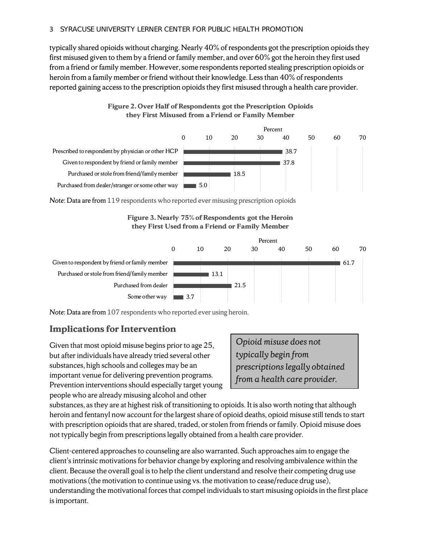typically shared opioids without charging. Nearly 40% of respondents got the prescription opioids they first misused given to them by a friend or family member, and over 60% got the heroin they first used from a friend or family member. However, some respondents reported stealing prescription opioids or heroin from a family member or friend without their knowledge. Less than 40% of respondents reported gaining access to the prescription opioids they first misused through a health care provider.





*Note*: Data are from 119 respondents who reported ever misusing prescription opioids





*Note*: Data are from 107 respondents who reported ever using heroin.

## **Implications for Intervention**

Given that most opioid misuse begins prior to age 25, but after individuals have already tried several other substances, high schools and colleges may be an important venue for delivering prevention programs. Prevention interventions should especially target young people who are already misusing alcohol and other

*Opioid misuse does not typically begin from prescriptions legally obtained from a health care provider.*

substances, as they are at highest risk of transitioning to opioids. It is also worth noting that although heroin and fentanyl now account for the largest share of opioid deaths, opioid misuse still tends to start with prescription opioids that are shared, traded, or stolen from friends or family. Opioid misuse does not typically begin from prescriptions legally obtained from a health care provider.

Client-centered approaches to counseling are also warranted. Such approaches aim to engage the client's intrinsic motivations for behavior change by exploring and resolving ambivalence within the client. Because the overall goal is to help the client understand and resolve their competing drug use motivations (the motivation to continue using vs. the motivation to cease/reduce drug use), understanding the motivational forces that compel individuals to start misusing opioids in the first place is important.